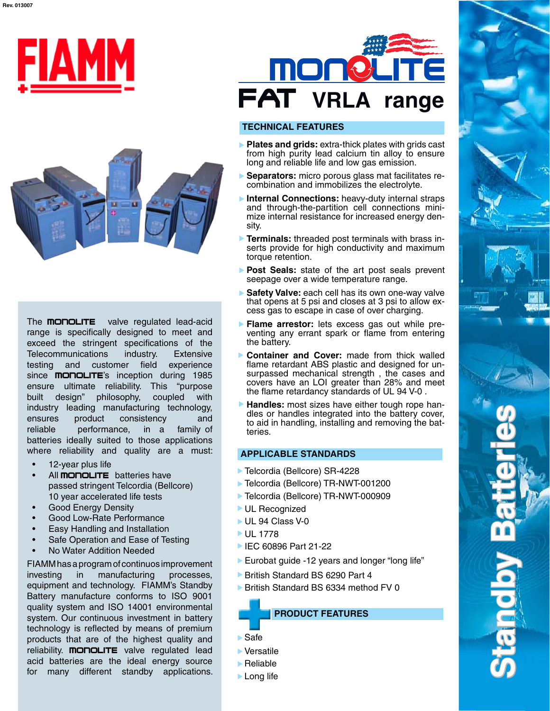



The **MONOLITE** valve regulated lead-acid range is specifically designed to meet and exceed the stringent specifications of the Telecommunications industry. Extensive testing and customer field experience since **MONOLITE**'s inception during 1985 ensure ultimate reliability. This "purpose built design" philosophy, coupled with industry leading manufacturing technology, ensures product consistency and reliable performance, in a family of batteries ideally suited to those applications where reliability and quality are a must:

- 12-year plus life •
- All **monoLITE** batteries have passed stringent Telcordia (Bellcore) 10 year accelerated life tests •
- Good Energy Density •
- Good Low-Rate Performance •
- Easy Handling and Installation •
- Safe Operation and Ease of Testing •
- No Water Addition Needed •

FIAMM has a program of continuos improvement investing in manufacturing processes, equipment and technology. FIAMM's Standby Battery manufacture conforms to ISO 9001 quality system and ISO 14001 environmental system. Our continuous investment in battery technology is reflected by means of premium products that are of the highest quality and reliability. **MONOLITE** valve regulated lead acid batteries are the ideal energy source for many different standby applications.



#### **TECHNICAL FEATURES**

- **Plates and grids:** extra-thick plates with grids cast from high purity lead calcium tin alloy to ensure long and reliable life and low gas emission.
- **Separators:** micro porous glass mat facilitates recombination and immobilizes the electrolyte.
- **Internal Connections:** heavy-duty internal straps and through-the-partition cell connections minimize internal resistance for increased energy density.
- **Terminals:** threaded post terminals with brass inserts provide for high conductivity and maximum torque retention.
- **Post Seals:** state of the art post seals prevent seepage over a wide temperature range.
- **Safety Valve:** each cell has its own one-way valve that opens at 5 psi and closes at 3 psi to allow excess gas to escape in case of over charging.
- **Flame arrestor:** lets excess gas out while preventing any errant spark or flame from entering the battery.
- ь **Container and Cover:** made from thick walled flame retardant ABS plastic and designed for unsurpassed mechanical strength , the cases and covers have an LOI greater than 28% and meet the flame retardancy standards of UL 94 V-0 .
- **Handles:** most sizes have either tough rope handles or handles integrated into the battery cover, to aid in handling, installing and removing the batteries.

#### **APPLICABLE STANDARDS**

- ▶ Telcordia (Bellcore) SR-4228
- Telcordia (Bellcore) TR-NWT-001200
- Telcordia (Bellcore) TR-NWT-000909
- **UL Recognized**
- UL 94 Class V-0
- **► UL 1778**
- IEC 60896 Part 21-22
- Eurobat guide -12 years and longer "long life"
- ▶ British Standard BS 6290 Part 4
- ▶ British Standard BS 6334 method FV 0



- Safe
- Versatile
- $\blacktriangleright$  Reliable
- **Long life**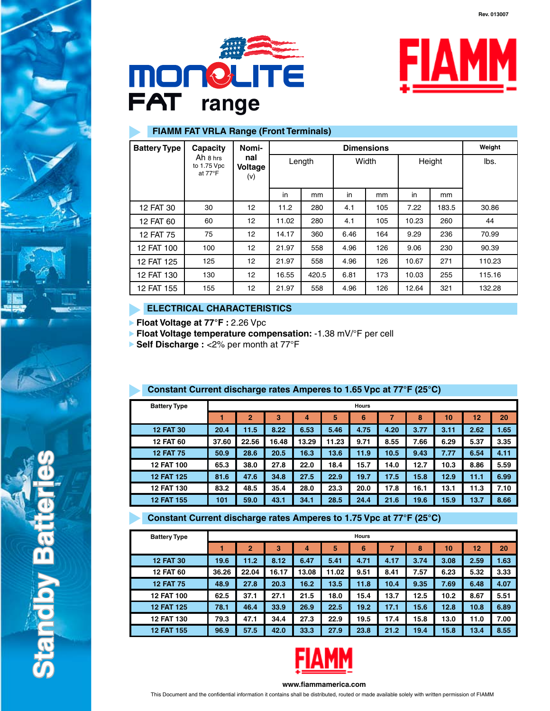





## **FIAMM FAT VRLA Range (Front Terminals)**

| <b>Battery Type</b> | Capacity                                     | Nomi-                 |        |       | Weight |     |        |       |        |
|---------------------|----------------------------------------------|-----------------------|--------|-------|--------|-----|--------|-------|--------|
|                     | Ah 8 hrs<br>to 1.75 Vpc<br>at $77^{\circ}$ F | nal<br>Voltage<br>(v) | Length |       | Width  |     | Height |       | lbs.   |
|                     |                                              |                       | in     | mm    | in     | mm  | in     | mm    |        |
| 12 FAT 30           | 30                                           | 12                    | 11.2   | 280   | 4.1    | 105 | 7.22   | 183.5 | 30.86  |
| 12 FAT 60           | 60                                           | 12                    | 11.02  | 280   | 4.1    | 105 | 10.23  | 260   | 44     |
| 12 FAT 75           | 75                                           | 12                    | 14.17  | 360   | 6.46   | 164 | 9.29   | 236   | 70.99  |
| 12 FAT 100          | 100                                          | 12                    | 21.97  | 558   | 4.96   | 126 | 9.06   | 230   | 90.39  |
| 12 FAT 125          | 125                                          | 12                    | 21.97  | 558   | 4.96   | 126 | 10.67  | 271   | 110.23 |
| 12 FAT 130          | 130                                          | 12                    | 16.55  | 420.5 | 6.81   | 173 | 10.03  | 255   | 115.16 |
| 12 FAT 155          | 155                                          | 12                    | 21.97  | 558   | 4.96   | 126 | 12.64  | 321   | 132.28 |

## **ELECTRICAL CHARACTERISTICS**

**Float Voltage at 77°F :** 2.26 Vpc K

**Float Voltage temperature compensation:** -1.38 mV/°F per cell

**Self Discharge :** <2% per month at 77°F

| <b>Battery Type</b> | <b>Hours</b> |                |       |       |       |      |      |      |      |              |      |
|---------------------|--------------|----------------|-------|-------|-------|------|------|------|------|--------------|------|
|                     |              | $\overline{2}$ | 3     | 4     | 5     | 6    |      | 8    | 10   | $12^{\circ}$ | 20   |
| <b>12 FAT 30</b>    | 20.4         | 11.5           | 8.22  | 6.53  | 5.46  | 4.75 | 4.20 | 3.77 | 3.11 | 2.62         | 1.65 |
| <b>12 FAT 60</b>    | 37.60        | 22.56          | 16.48 | 13.29 | 11.23 | 9.71 | 8.55 | 7.66 | 6.29 | 5.37         | 3.35 |
| <b>12 FAT 75</b>    | 50.9         | 28.6           | 20.5  | 16.3  | 13.6  | 11.9 | 10.5 | 9.43 | 7.77 | 6.54         | 4.11 |
| <b>12 FAT 100</b>   | 65.3         | 38.0           | 27.8  | 22.0  | 18.4  | 15.7 | 14.0 | 12.7 | 10.3 | 8.86         | 5.59 |
| <b>12 FAT 125</b>   | 81.6         | 47.6           | 34.8  | 27.5  | 22.9  | 19.7 | 17.5 | 15.8 | 12.9 | 11.1         | 6.99 |
| <b>12 FAT 130</b>   | 83.2         | 48.5           | 35.4  | 28.0  | 23.3  | 20.0 | 17.8 | 16.1 | 13.1 | 11.3         | 7.10 |
| <b>12 FAT 155</b>   | 101          | 59.0           | 43.1  | 34.1  | 28.5  | 24.4 | 21.6 | 19.6 | 15.9 | 13.7         | 8.66 |

## **Constant Current discharge rates Amperes to 1.65 Vpc at 77°F (25°C)**

## **Constant Current discharge rates Amperes to 1.75 Vpc at 77°F (25°C)**

| <b>Battery Type</b> | <b>Hours</b> |                |       |       |       |      |      |      |      |      |      |  |
|---------------------|--------------|----------------|-------|-------|-------|------|------|------|------|------|------|--|
|                     |              | $\overline{2}$ | 3     | 4     | 5     | 6    | 7    | 8    | 10   | 12   | 20   |  |
| <b>12 FAT 30</b>    | 19.6         | 11.2           | 8.12  | 6.47  | 5.41  | 4.71 | 4.17 | 3.74 | 3.08 | 2.59 | 1.63 |  |
| <b>12 FAT 60</b>    | 36.26        | 22.04          | 16.17 | 13.08 | 11.02 | 9.51 | 8.41 | 7.57 | 6.23 | 5.32 | 3.33 |  |
| <b>12 FAT 75</b>    | 48.9         | 27.8           | 20.3  | 16.2  | 13.5  | 11.8 | 10.4 | 9.35 | 7.69 | 6.48 | 4.07 |  |
| <b>12 FAT 100</b>   | 62.5         | 37.1           | 27.1  | 21.5  | 18.0  | 15.4 | 13.7 | 12.5 | 10.2 | 8.67 | 5.51 |  |
| <b>12 FAT 125</b>   | 78.1         | 46.4           | 33.9  | 26.9  | 22.5  | 19.2 | 17.1 | 15.6 | 12.8 | 10.8 | 6.89 |  |
| 12 FAT 130          | 79.3         | 47.1           | 34.4  | 27.3  | 22.9  | 19.5 | 17.4 | 15.8 | 13.0 | 11.0 | 7.00 |  |
| <b>12 FAT 155</b>   | 96.9         | 57.5           | 42.0  | 33.3  | 27.9  | 23.8 | 21.2 | 19.4 | 15.8 | 13.4 | 8.55 |  |



#### **www.fiammamerica.com**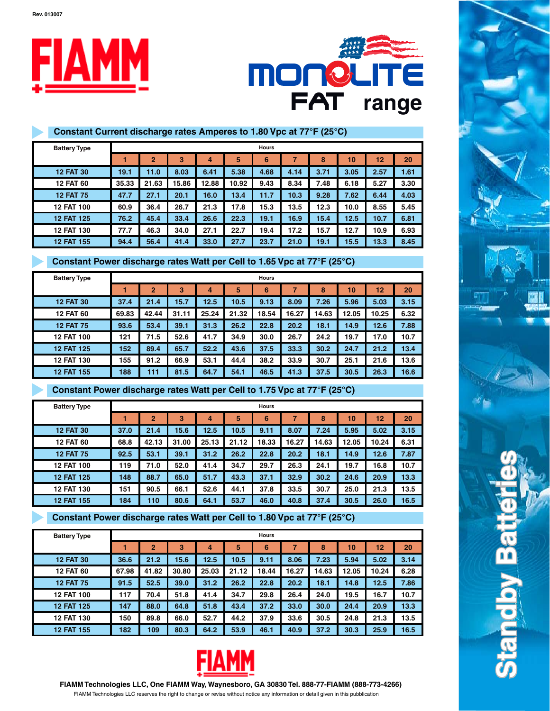**Rev. 013007**





## **Constant Current discharge rates Amperes to 1.80 Vpc at 77°F (25°C)**

| <b>Battery Type</b> |       | <b>Hours</b>   |       |       |       |      |      |      |      |      |      |  |  |
|---------------------|-------|----------------|-------|-------|-------|------|------|------|------|------|------|--|--|
|                     |       | $\overline{2}$ | 3     | 4     | 5     | 6    | 7    | 8    | 10   | 12   | 20   |  |  |
| <b>12 FAT 30</b>    | 19.1  | 11.0           | 8.03  | 6.41  | 5.38  | 4.68 | 4.14 | 3.71 | 3.05 | 2.57 | 1.61 |  |  |
| <b>12 FAT 60</b>    | 35.33 | 21.63          | 15.86 | 12.88 | 10.92 | 9.43 | 8.34 | 7.48 | 6.18 | 5.27 | 3.30 |  |  |
| <b>12 FAT 75</b>    | 47.7  | 27.1           | 20.1  | 16.0  | 13.4  | 11.7 | 10.3 | 9.28 | 7.62 | 6.44 | 4.03 |  |  |
| <b>12 FAT 100</b>   | 60.9  | 36.4           | 26.7  | 21.3  | 17.8  | 15.3 | 13.5 | 12.3 | 10.0 | 8.55 | 5.45 |  |  |
| <b>12 FAT 125</b>   | 76.2  | 45.4           | 33.4  | 26.6  | 22.3  | 19.1 | 16.9 | 15.4 | 12.5 | 10.7 | 6.81 |  |  |
| <b>12 FAT 130</b>   | 77.7  | 46.3           | 34.0  | 27.1  | 22.7  | 19.4 | 17.2 | 15.7 | 12.7 | 10.9 | 6.93 |  |  |
| <b>12 FAT 155</b>   | 94.4  | 56.4           | 41.4  | 33.0  | 27.7  | 23.7 | 21.0 | 19.1 | 15.5 | 13.3 | 8.45 |  |  |

## **Constant Power discharge rates Watt per Cell to 1.65 Vpc at 77°F (25°C)**

| <b>Battery Type</b> |       | <b>Hours</b>   |                |       |       |       |       |       |       |       |      |  |
|---------------------|-------|----------------|----------------|-------|-------|-------|-------|-------|-------|-------|------|--|
|                     |       | $\overline{2}$ | $\overline{3}$ | 4     | 5     | 6     | 7     | 8     | 10    | 12    | 20   |  |
| <b>12 FAT 30</b>    | 37.4  | 21.4           | 15.7           | 12.5  | 10.5  | 9.13  | 8.09  | 7.26  | 5.96  | 5.03  | 3.15 |  |
| <b>12 FAT 60</b>    | 69.83 | 42.44          | 31.11          | 25.24 | 21.32 | 18.54 | 16.27 | 14.63 | 12.05 | 10.25 | 6.32 |  |
| <b>12 FAT 75</b>    | 93.6  | 53.4           | 39.1           | 31.3  | 26.2  | 22.8  | 20.2  | 18.1  | 14.9  | 12.6  | 7.88 |  |
| <b>12 FAT 100</b>   | 121   | 71.5           | 52.6           | 41.7  | 34.9  | 30.0  | 26.7  | 24.2  | 19.7  | 17.0  | 10.7 |  |
| <b>12 FAT 125</b>   | 152   | 89.4           | 65.7           | 52.2  | 43.6  | 37.5  | 33.3  | 30.2  | 24.7  | 21.2  | 13.4 |  |
| <b>12 FAT 130</b>   | 155   | 91.2           | 66.9           | 53.1  | 44.4  | 38.2  | 33.9  | 30.7  | 25.1  | 21.6  | 13.6 |  |
| <b>12 FAT 155</b>   | 188   | 111            | 81.5           | 64.7  | 54.1  | 46.5  | 41.3  | 37.5  | 30.5  | 26.3  | 16.6 |  |

## **Constant Power discharge rates Watt per Cell to 1.75 Vpc at 77°F (25°C)**

| <b>Battery Type</b> |      | <b>Hours</b>   |       |       |       |       |       |       |       |       |      |  |
|---------------------|------|----------------|-------|-------|-------|-------|-------|-------|-------|-------|------|--|
|                     |      | $\overline{2}$ | 3     | 4     | 5     | 6     |       | 8     | 10    | 12    | 20   |  |
| <b>12 FAT 30</b>    | 37.0 | 21.4           | 15.6  | 12.5  | 10.5  | 9.11  | 8.07  | 7.24  | 5.95  | 5.02  | 3.15 |  |
| <b>12 FAT 60</b>    | 68.8 | 42.13          | 31.00 | 25.13 | 21.12 | 18.33 | 16.27 | 14.63 | 12.05 | 10.24 | 6.31 |  |
| <b>12 FAT 75</b>    | 92.5 | 53.1           | 39.1  | 31.2  | 26.2  | 22.8  | 20.2  | 18.1  | 14.9  | 12.6  | 7.87 |  |
| <b>12 FAT 100</b>   | 119  | 71.0           | 52.0  | 41.4  | 34.7  | 29.7  | 26.3  | 24.1  | 19.7  | 16.8  | 10.7 |  |
| <b>12 FAT 125</b>   | 148  | 88.7           | 65.0  | 51.7  | 43.3  | 37.1  | 32.9  | 30.2  | 24.6  | 20.9  | 13.3 |  |
| <b>12 FAT 130</b>   | 151  | 90.5           | 66.1  | 52.6  | 44.1  | 37.8  | 33.5  | 30.7  | 25.0  | 21.3  | 13.5 |  |
| <b>12 FAT 155</b>   | 184  | 110            | 80.6  | 64.1  | 53.7  | 46.0  | 40.8  | 37.4  | 30.5  | 26.0  | 16.5 |  |

## **Constant Power discharge rates Watt per Cell to 1.80 Vpc at 77°F (25°C)**

| <b>Battery Type</b> |       | <b>Hours</b>   |       |                |       |       |       |       |       |       |      |  |  |
|---------------------|-------|----------------|-------|----------------|-------|-------|-------|-------|-------|-------|------|--|--|
|                     |       | $\overline{2}$ | 3     | $\overline{4}$ | 5     | 6     |       | 8     | 10    | 12    | 20   |  |  |
| <b>12 FAT 30</b>    | 36.6  | 21.2           | 15.6  | 12.5           | 10.5  | 9.11  | 8.06  | 7.23  | 5.94  | 5.02  | 3.14 |  |  |
| <b>12 FAT 60</b>    | 67.98 | 41.82          | 30.80 | 25.03          | 21.12 | 18.44 | 16.27 | 14.63 | 12.05 | 10.24 | 6.28 |  |  |
| <b>12 FAT 75</b>    | 91.5  | 52.5           | 39.0  | 31.2           | 26.2  | 22.8  | 20.2  | 18.1  | 14.8  | 12.5  | 7.86 |  |  |
| <b>12 FAT 100</b>   | 117   | 70.4           | 51.8  | 41.4           | 34.7  | 29.8  | 26.4  | 24.0  | 19.5  | 16.7  | 10.7 |  |  |
| <b>12 FAT 125</b>   | 147   | 88.0           | 64.8  | 51.8           | 43.4  | 37.2  | 33.0  | 30.0  | 24.4  | 20.9  | 13.3 |  |  |
| <b>12 FAT 130</b>   | 150   | 89.8           | 66.0  | 52.7           | 44.2  | 37.9  | 33.6  | 30.5  | 24.8  | 21.3  | 13.5 |  |  |
| <b>12 FAT 155</b>   | 182   | 109            | 80.3  | 64.2           | 53.9  | 46.1  | 40.9  | 37.2  | 30.3  | 25.9  | 16.5 |  |  |



FIAMM Technologies LLC reserves the right to change or revise without notice any information or detail given in this pubblication